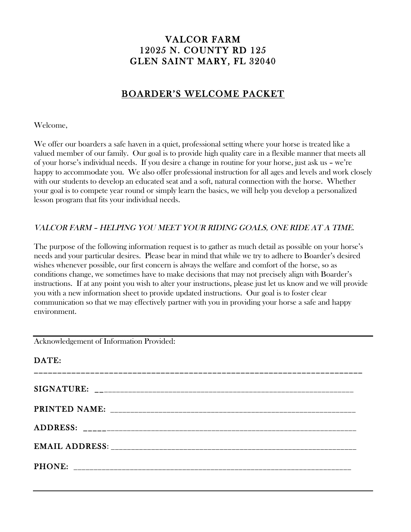# VALCOR FARM 12025 N. COUNTY RD 125 GLEN SAINT MARY, FL 32040

# BOARDER'S WELCOME PACKET

Welcome,

We offer our boarders a safe haven in a quiet, professional setting where your horse is treated like a valued member of our family. Our goal is to provide high quality care in a flexible manner that meets all of your horse's individual needs. If you desire a change in routine for your horse, just ask us – we're happy to accommodate you. We also offer professional instruction for all ages and levels and work closely with our students to develop an educated seat and a soft, natural connection with the horse. Whether your goal is to compete year round or simply learn the basics, we will help you develop a personalized lesson program that fits your individual needs.

### VALCOR FARM – HELPING YOU MEET YOUR RIDING GOALS, ONE RIDE AT A TIME.

The purpose of the following information request is to gather as much detail as possible on your horse's needs and your particular desires. Please bear in mind that while we try to adhere to Boarder's desired wishes whenever possible, our first concern is always the welfare and comfort of the horse, so as conditions change, we sometimes have to make decisions that may not precisely align with Boarder's instructions. If at any point you wish to alter your instructions, please just let us know and we will provide you with a new information sheet to provide updated instructions. Our goal is to foster clear communication so that we may effectively partner with you in providing your horse a safe and happy environment.

Acknowledgement of Information Provided:

| DATE: |  |
|-------|--|
|       |  |
|       |  |
|       |  |
|       |  |
|       |  |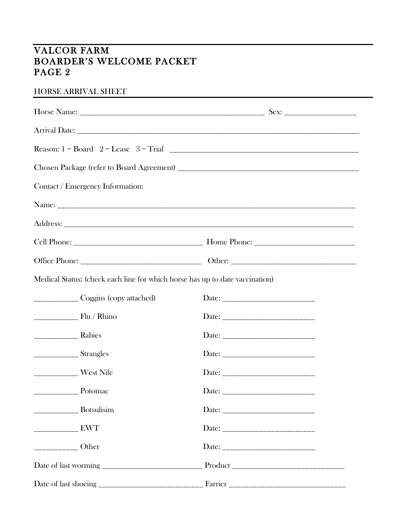# VALCOR FARM BOARDER'S WELCOME PACKET PAGE 2

#### HORSE ARRIVAL SHEET

| Contact / Emergency Information:                                             |                                   |
|------------------------------------------------------------------------------|-----------------------------------|
|                                                                              |                                   |
|                                                                              |                                   |
|                                                                              |                                   |
|                                                                              |                                   |
| Medical Status: (check each line for which horse has up to date vaccination) |                                   |
| _____________ Coggins (copy attached)                                        |                                   |
| $\frac{1}{1}$ Flu / Rhino                                                    |                                   |
|                                                                              | Date: ___________________________ |
| $\frac{1}{2}$ Strangles                                                      |                                   |
| ____________ West Nile                                                       |                                   |
|                                                                              | Date: ___________________________ |
| $\frac{1}{1}$ Botsulisim                                                     |                                   |
|                                                                              | Date: __________________________  |
| $\frac{1}{1}$ Other                                                          |                                   |
|                                                                              |                                   |
|                                                                              |                                   |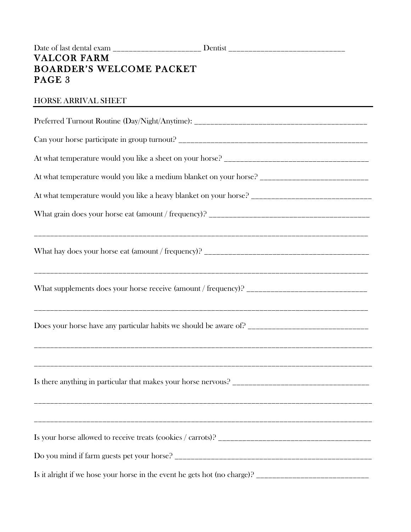#### HORSE ARRIVAL SHEET

| At what temperature would you like a medium blanket on your horse? _________________________________ |
|------------------------------------------------------------------------------------------------------|
|                                                                                                      |
|                                                                                                      |
|                                                                                                      |
|                                                                                                      |
|                                                                                                      |
|                                                                                                      |
|                                                                                                      |
|                                                                                                      |
|                                                                                                      |
|                                                                                                      |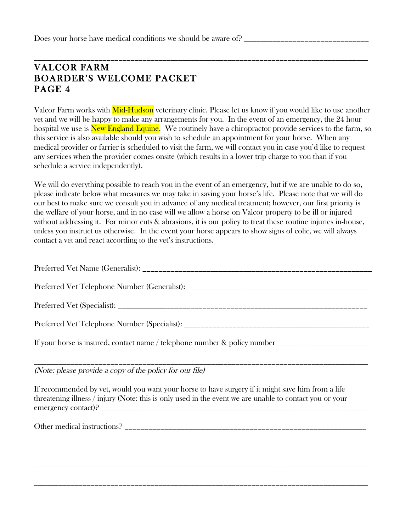## \_\_\_\_\_\_\_\_\_\_\_\_\_\_\_\_\_\_\_\_\_\_\_\_\_\_\_\_\_\_\_\_\_\_\_\_\_\_\_\_\_\_\_\_\_\_\_\_\_\_\_\_\_\_\_\_\_\_\_\_\_\_\_\_\_\_\_\_\_\_\_\_\_\_\_\_\_\_\_\_\_\_\_ VALCOR FARM BOARDER'S WELCOME PACKET PAGE 4

Valcor Farm works with **Mid-Hudson** veterinary clinic. Please let us know if you would like to use another vet and we will be happy to make any arrangements for you. In the event of an emergency, the 24 hour hospital we use is **New England Equine.** We routinely have a chiropractor provide services to the farm, so this service is also available should you wish to schedule an appointment for your horse. When any medical provider or farrier is scheduled to visit the farm, we will contact you in case you'd like to request any services when the provider comes onsite (which results in a lower trip charge to you than if you schedule a service independently).

We will do everything possible to reach you in the event of an emergency, but if we are unable to do so, please indicate below what measures we may take in saving your horse's life. Please note that we will do our best to make sure we consult you in advance of any medical treatment; however, our first priority is the welfare of your horse, and in no case will we allow a horse on Valcor property to be ill or injured without addressing it. For minor cuts  $\&$  abrasions, it is our policy to treat these routine injuries in-house, unless you instruct us otherwise. In the event your horse appears to show signs of colic, we will always contact a vet and react according to the vet's instructions.

| If your horse is insured, contact name / telephone number & policy number _________________________                                                                                                          |
|--------------------------------------------------------------------------------------------------------------------------------------------------------------------------------------------------------------|
| (Note: please provide a copy of the policy for our file)                                                                                                                                                     |
| If recommended by vet, would you want your horse to have surgery if it might save him from a life<br>threatening illness / injury (Note: this is only used in the event we are unable to contact you or your |
|                                                                                                                                                                                                              |
|                                                                                                                                                                                                              |
|                                                                                                                                                                                                              |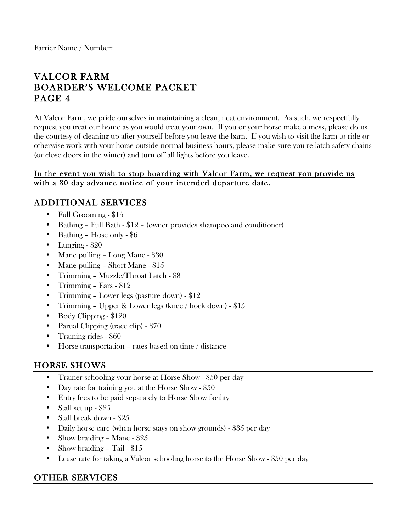# VALCOR FARM BOARDER'S WELCOME PACKET PAGE 4

At Valcor Farm, we pride ourselves in maintaining a clean, neat environment. As such, we respectfully request you treat our home as you would treat your own. If you or your horse make a mess, please do us the courtesy of cleaning up after yourself before you leave the barn. If you wish to visit the farm to ride or otherwise work with your horse outside normal business hours, please make sure you re-latch safety chains (or close doors in the winter) and turn off all lights before you leave.

#### In the event you wish to stop boarding with Valcor Farm, we request you provide us with a 30 day advance notice of your intended departure date.

## ADDITIONAL SERVICES

- Full Grooming \$15
- Bathing Full Bath \$12 (owner provides shampoo and conditioner)
- Bathing Hose only \$6
- Lunging  $$20$
- Mane pulling Long Mane \$30
- Mane pulling Short Mane \$15
- Trimming Muzzle/Throat Latch \$8
- Trimming Ears \$12
- Trimming Lower legs (pasture down) \$12
- Trimming Upper & Lower legs (knee / hock down) \$15
- Body Clipping \$120
- Partial Clipping (trace clip) \$70
- Training rides \$60
- Horse transportation rates based on time / distance

# HORSE SHOWS

- Trainer schooling your horse at Horse Show \$50 per day
- Day rate for training you at the Horse Show \$50
- Entry fees to be paid separately to Horse Show facility
- Stall set up \$25
- Stall break down \$25
- Daily horse care (when horse stays on show grounds) \$35 per day
- Show braiding Mane \$25
- Show braiding Tail \$15
- Lease rate for taking a Valcor schooling horse to the Horse Show \$50 per day

## OTHER SERVICES